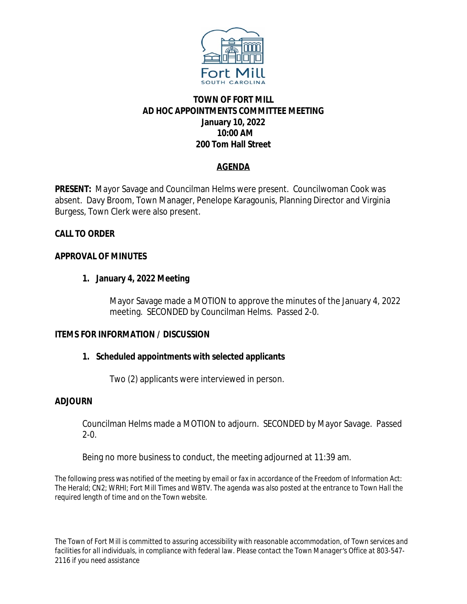

## **TOWN OF FORT MILL AD HOC APPOINTMENTS COMMITTEE MEETING January 10, 2022 10:00 AM 200 Tom Hall Street**

# **AGENDA**

**PRESENT:** Mayor Savage and Councilman Helms were present. Councilwoman Cook was absent. Davy Broom, Town Manager, Penelope Karagounis, Planning Director and Virginia Burgess, Town Clerk were also present.

## **CALL TO ORDER**

### **APPROVAL OF MINUTES**

## **1. January 4, 2022 Meeting**

Mayor Savage made a MOTION to approve the minutes of the January 4, 2022 meeting. SECONDED by Councilman Helms. Passed 2-0.

### **ITEMS FOR INFORMATION / DISCUSSION**

### **1. Scheduled appointments with selected applicants**

Two (2) applicants were interviewed in person.

### **ADJOURN**

Councilman Helms made a MOTION to adjourn. SECONDED by Mayor Savage. Passed  $2-0.$ 

Being no more business to conduct, the meeting adjourned at 11:39 am.

*The following press was notified of the meeting by email or fax in accordance of the Freedom of Information Act: The Herald; CN2; WRHI; Fort Mill Times and WBTV. The agenda was also posted at the entrance to Town Hall the required length of time and on the Town website.*

*The Town of Fort Mill is committed to assuring accessibility with reasonable accommodation, of Town services and facilities for all individuals, in compliance with federal law. Please contact the Town Manager's Office at 803-547- 2116 if you need assistance*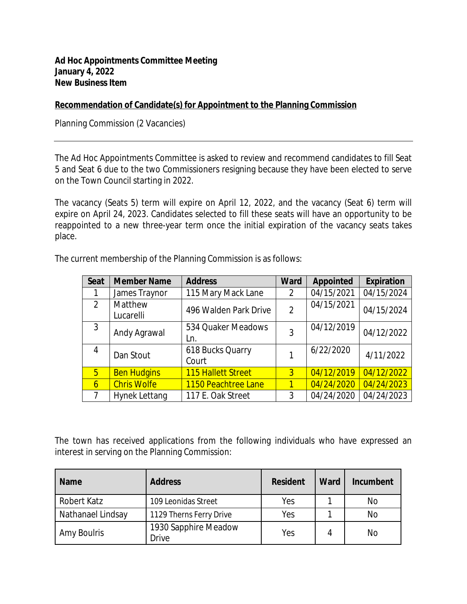#### **Recommendation of Candidate(s) for Appointment to the Planning Commission**

Planning Commission (2 Vacancies)

The Ad Hoc Appointments Committee is asked to review and recommend candidates to fill Seat 5 and Seat 6 due to the two Commissioners resigning because they have been elected to serve on the Town Council starting in 2022.

The vacancy (Seats 5) term will expire on April 12, 2022, and the vacancy (Seat 6) term will expire on April 24, 2023. Candidates selected to fill these seats will have an opportunity to be reappointed to a new three-year term once the initial expiration of the vacancy seats takes place.

| <b>Seat</b>    | <b>Member Name</b>   | <b>Address</b>            | <b>Ward</b>    | Appointed  | <b>Expiration</b> |
|----------------|----------------------|---------------------------|----------------|------------|-------------------|
|                | James Traynor        | 115 Mary Mack Lane        | $\overline{2}$ | 04/15/2021 | 04/15/2024        |
| $\mathcal{P}$  | Matthew<br>Lucarelli | 496 Walden Park Drive     | $\overline{2}$ | 04/15/2021 | 04/15/2024        |
| 3              | Andy Agrawal         | 534 Quaker Meadows<br>Ln. | 3              | 04/12/2019 | 04/12/2022        |
| 4              | Dan Stout            | 618 Bucks Quarry<br>Court |                | 6/22/2020  | 4/11/2022         |
| $\overline{5}$ | <b>Ben Hudgins</b>   | 115 Hallett Street        | $\overline{3}$ | 04/12/2019 | 04/12/2022        |
| 6              | <b>Chris Wolfe</b>   | 1150 Peachtree Lane       |                | 04/24/2020 | 04/24/2023        |
| $\overline{7}$ | Hynek Lettang        | 117 E. Oak Street         | 3              | 04/24/2020 | 04/24/2023        |

The current membership of the Planning Commission is as follows:

The town has received applications from the following individuals who have expressed an interest in serving on the Planning Commission:

| <b>Name</b>       | <b>Address</b>                       | <b>Resident</b> | <b>Ward</b> | <b>Incumbent</b> |
|-------------------|--------------------------------------|-----------------|-------------|------------------|
| Robert Katz       | 109 Leonidas Street                  | Yes             |             | <b>No</b>        |
| Nathanael Lindsay | 1129 Therns Ferry Drive              | Yes             |             | <b>No</b>        |
| Amy Boulris       | 1930 Sapphire Meadow<br><b>Drive</b> | Yes             |             | No               |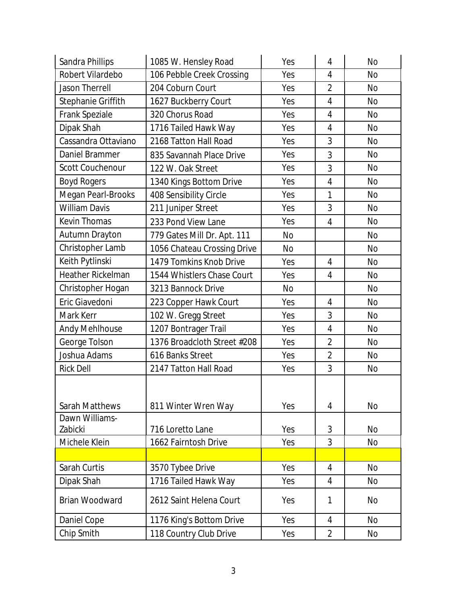| Sandra Phillips          | 1085 W. Hensley Road        | Yes       | 4              | No        |
|--------------------------|-----------------------------|-----------|----------------|-----------|
| Robert Vilardebo         | 106 Pebble Creek Crossing   | Yes       | $\overline{4}$ | No        |
| <b>Jason Therrell</b>    | 204 Coburn Court            | Yes       | $\overline{2}$ | No        |
| Stephanie Griffith       | 1627 Buckberry Court        | Yes       | $\overline{4}$ | No        |
| Frank Speziale           | 320 Chorus Road             | Yes       | $\overline{4}$ | <b>No</b> |
| Dipak Shah               | 1716 Tailed Hawk Way        | Yes       | $\overline{4}$ | <b>No</b> |
| Cassandra Ottaviano      | 2168 Tatton Hall Road       | Yes       | 3              | No        |
| Daniel Brammer           | 835 Savannah Place Drive    | Yes       | 3              | No        |
| Scott Couchenour         | 122 W. Oak Street           | Yes       | 3              | No        |
| <b>Boyd Rogers</b>       | 1340 Kings Bottom Drive     | Yes       | $\overline{4}$ | No        |
| Megan Pearl-Brooks       | 408 Sensibility Circle      | Yes       | 1              | No        |
| <b>William Davis</b>     | 211 Juniper Street          | Yes       | 3              | No        |
| Kevin Thomas             | 233 Pond View Lane          | Yes       | $\overline{4}$ | No        |
| Autumn Drayton           | 779 Gates Mill Dr. Apt. 111 | <b>No</b> |                | <b>No</b> |
| Christopher Lamb         | 1056 Chateau Crossing Drive | No        |                | No        |
| Keith Pytlinski          | 1479 Tomkins Knob Drive     | Yes       | 4              | No        |
| <b>Heather Rickelman</b> | 1544 Whistlers Chase Court  | Yes       | $\overline{4}$ | No        |
| Christopher Hogan        | 3213 Bannock Drive          | No        |                | No        |
| Eric Giavedoni           | 223 Copper Hawk Court       | Yes       | $\overline{4}$ | No        |
| Mark Kerr                | 102 W. Gregg Street         | Yes       | 3              | No        |
| Andy Mehlhouse           | 1207 Bontrager Trail        | Yes       | $\overline{4}$ | <b>No</b> |
| George Tolson            | 1376 Broadcloth Street #208 | Yes       | $\overline{2}$ | No        |
| Joshua Adams             | 616 Banks Street            | Yes       | $\overline{2}$ | <b>No</b> |
| <b>Rick Dell</b>         | 2147 Tatton Hall Road       | Yes       | 3              | No        |
| Sarah Matthews           | 811 Winter Wren Way         | Yes       | $\overline{4}$ | No        |
| Dawn Williams-           |                             |           |                |           |
| Zabicki                  | 716 Loretto Lane            | Yes       | 3              | No        |
| Michele Klein            | 1662 Fairntosh Drive        | Yes       | 3              | No        |
|                          |                             |           |                |           |
| Sarah Curtis             | 3570 Tybee Drive            | Yes       | $\overline{4}$ | <b>No</b> |
| Dipak Shah               | 1716 Tailed Hawk Way        | Yes       | 4              | No        |
| Brian Woodward           | 2612 Saint Helena Court     | Yes       | 1              | No        |
| Daniel Cope              | 1176 King's Bottom Drive    | Yes       | $\overline{4}$ | No        |
| Chip Smith               | 118 Country Club Drive      | Yes       | $\overline{2}$ | No        |